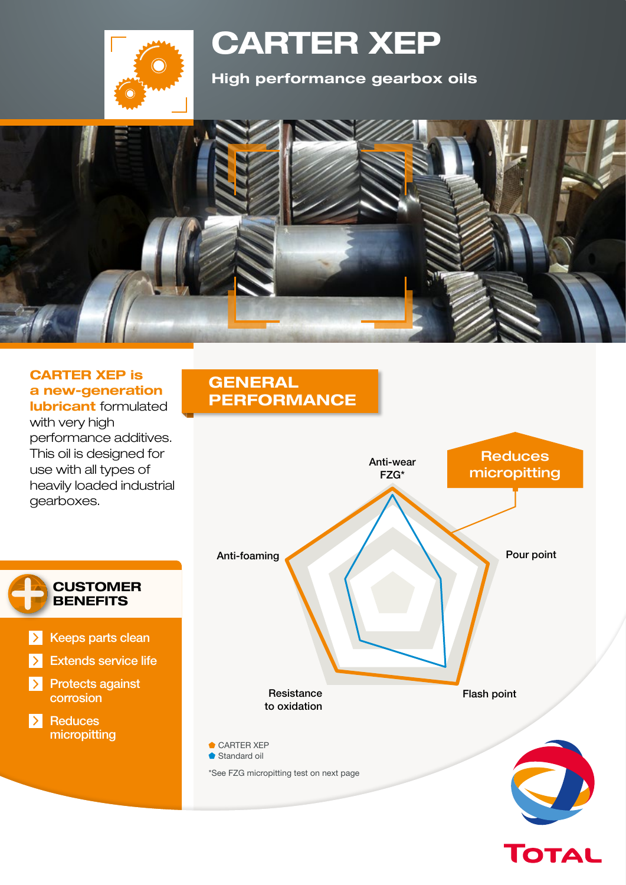

# **CARTER XEP**

**High performance gearbox oils**



### **CARTER XEP is a new-generation**

**lubricant** formulated with very high performance additives. This oil is designed for use with all types of heavily loaded industrial gearboxes.

> **CUSTOMER BENEFITS**

 $\triangleright$  Keeps parts clean

Extends service life

Protects against

corrosion

micropitting

 $\blacktriangleright$  Reduces

 $\rightarrow$ 

 $\rightarrow$ 

## **GENERAL PERFORMANCE**



TOTAL